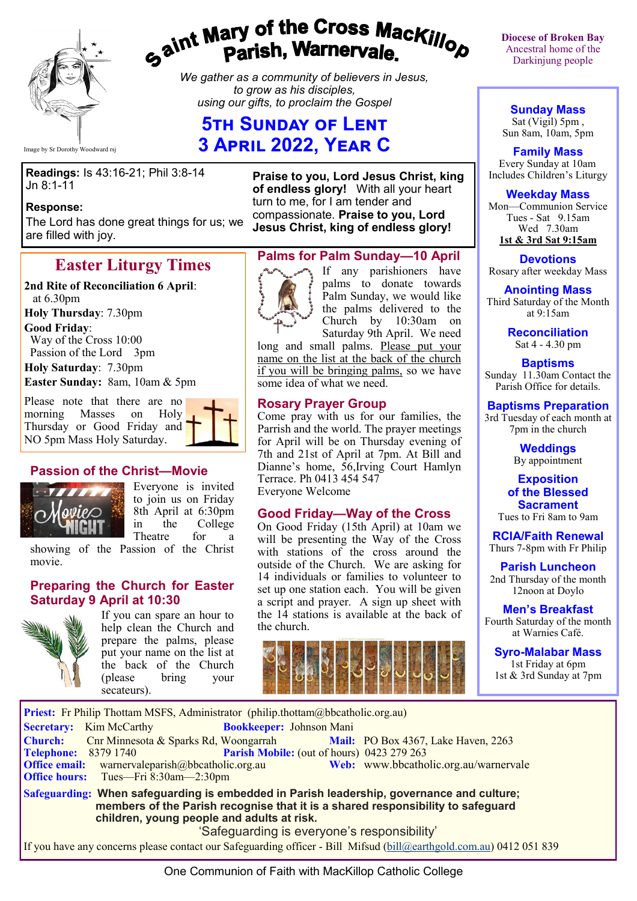

# gaint Mary of the Cross Mackillop<br>g<sup>aint</sup> Parish, Warnervale.

*We gather as a community of believers in Jesus, to grow as his disciples, using our gifts, to proclaim the Gospel*

# **5th Sunday of Lent 3 April 2022, Year C**

Image by Sr Dorothy Woodward rsj

**Readings:** Is 43:16-21; Phil 3:8-14 Jn 8:1-11

#### **Response:**

The Lord has done great things for us; we are filled with joy.

# **Easter Liturgy Times**

#### **2nd Rite of Reconciliation 6 April**: at 6.30pm

**Holy Thursday**: 7.30pm

**Good Friday**:

 Way of the Cross 10:00 Passion of the Lord 3pm

**Holy Saturday**: 7.30pm

**Easter Sunday:** 8am, 10am & 5pm

Please note that there are no morning Masses on Holy Thursday or Good Friday and NO 5pm Mass Holy Saturday.

## **Passion of the Christ—Movie**



Everyone is invited to join us on Friday 8th April at 6:30pm<br>in the College in the College Theatre for a

showing of the Passion of the Christ movie.

## **Preparing the Church for Easter Saturday 9 April at 10:30**



If you can spare an hour to help clean the Church and prepare the palms, please put your name on the list at the back of the Church (please bring your secateurs).

**Praise to you, Lord Jesus Christ, king of endless glory!** With all your heart turn to me, for I am tender and compassionate. **Praise to you, Lord Jesus Christ, king of endless glory!**

#### **Palms for Palm Sunday—10 April**



If any parishioners have palms to donate towards Palm Sunday, we would like the palms delivered to the Church by 10:30am on Saturday 9th April. We need

long and small palms. Please put your name on the list at the back of the church if you will be bringing palms, so we have some idea of what we need.

## **Rosary Prayer Group**

Come pray with us for our families, the Parrish and the world. The prayer meetings for April will be on Thursday evening of 7th and 21st of April at 7pm. At Bill and Dianne's home, 56,Irving Court Hamlyn Terrace. Ph 0413 454 547 Everyone Welcome

#### **Good Friday—Way of the Cross**

On Good Friday (15th April) at 10am we will be presenting the Way of the Cross with stations of the cross around the outside of the Church. We are asking for 14 individuals or families to volunteer to set up one station each. You will be given a script and prayer. A sign up sheet with the 14 stations is available at the back of the church.



**Diocese of Broken Bay**  Ancestral home of the Darkinjung people

**Sunday Mass** Sat (Vigil) 5pm , Sun 8am, 10am, 5pm

**Family Mass**  Every Sunday at 10am Includes Children's Liturgy

**Weekday Mass**

Mon—Communion Service Tues - Sat 9.15am Wed 7.30am **1st & 3rd Sat 9:15am**

**Devotions** Rosary after weekday Mass

**Anointing Mass** Third Saturday of the Month at 9:15am

> **Reconciliation** Sat 4 - 4.30 pm

#### **Baptisms**

Sunday 11.30am Contact the Parish Office for details.

**Baptisms Preparation** 3rd Tuesday of each month at 7pm in the church

> **Weddings**  By appointment

**Exposition of the Blessed Sacrament**

Tues to Fri 8am to 9am

**RCIA/Faith Renewal**  Thurs 7-8pm with Fr Philip

**Parish Luncheon** 2nd Thursday of the month 12noon at Doylo

**Men's Breakfast** Fourth Saturday of the month at Warnies Café.

**Syro-Malabar Mass** 1st Friday at 6pm 1st & 3rd Sunday at 7pm

Priest: Fr Philip Thottam MSFS, Administrator (philip.thottam@bbcatholic.org.au) **Secretary:** Kim McCarthy **Bookkeeper:** Johnson Mani **Church:** Cnr Minnesota & Sparks Rd, Woongarrah **Mail:** PO Box 4367, Lake Haven, 2263 **Parish Mobile:** (out of hours) 0423 279 263 Office email: warnervaleparish@bbcatholic.org.au **Web:** [www.bbcatholic.org.au/warnervale](https://www.bbcatholic.org.au/warnervale)<br>
Office hours: Tues—Fri 8:30am—2:30pm **Office hours:** Tues—Fri 8:30am—2:30pm **Safeguarding: When safeguarding is embedded in Parish leadership, governance and culture; members of the Parish recognise that it is a shared responsibility to safeguard children, young people and adults at risk.** 'Safeguarding is everyone's responsibility'

If you have any concerns please contact our Safeguarding officer - Bill Mifsud ([bill@earthgold.com.au\)](mailto:bill@earthgold.com.au) 0412 051 839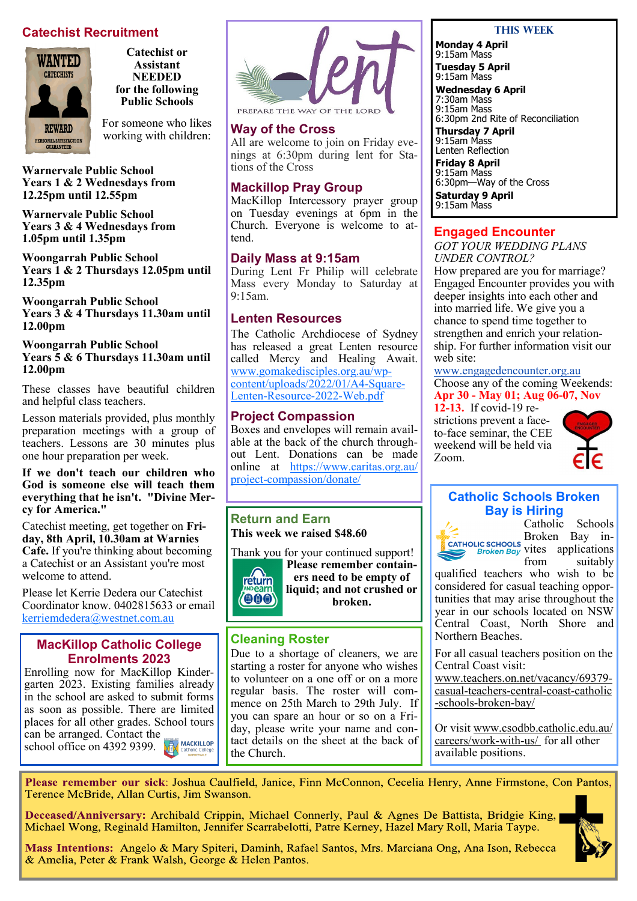# **Catechist Recruitment**



**Catechist or Assistant NEEDED for the following Public Schools**

For someone who likes working with children:

**Warnervale Public School Years 1 & 2 Wednesdays from 12.25pm until 12.55pm**

**Warnervale Public School Years 3 & 4 Wednesdays from 1.05pm until 1.35pm**

**Woongarrah Public School Years 1 & 2 Thursdays 12.05pm until 12.35pm**

**Woongarrah Public School Years 3 & 4 Thursdays 11.30am until 12.00pm**

**Woongarrah Public School Years 5 & 6 Thursdays 11.30am until 12.00pm**

These classes have beautiful children and helpful class teachers.

Lesson materials provided, plus monthly preparation meetings with a group of teachers. Lessons are 30 minutes plus one hour preparation per week.

**If we don't teach our children who God is someone else will teach them everything that he isn't. "Divine Mercy for America."**

Catechist meeting, get together on **Friday, 8th April, 10.30am at Warnies Cafe.** If you're thinking about becoming a Catechist or an Assistant you're most welcome to attend.

Please let Kerrie Dedera our Catechist Coordinator know. 0402815633 or email [kerriemdedera@westnet.com.au](mailto:kerriemdedera@westnet.com.au)

#### **MacKillop Catholic College Enrolments 2023**

Enrolling now for MacKillop Kindergarten 2023. Existing families already in the school are asked to submit forms as soon as possible. There are limited places for all other grades. School tours can be arranged. Contact the **MACKILLOP** school office on 4392 9399.ХĪ



#### **Way of the Cross**

All are welcome to join on Friday evenings at 6:30pm during lent for Stations of the Cross

#### **Mackillop Pray Group**

MacKillop Intercessory prayer group on Tuesday evenings at 6pm in the Church. Everyone is welcome to attend.

#### **Daily Mass at 9:15am**

During Lent Fr Philip will celebrate Mass every Monday to Saturday at 9:15am.

#### **Lenten Resources**

The Catholic Archdiocese of Sydney has released a great Lenten resource called Mercy and Healing Await. [www.gomakedisciples.org.au/wp](http://www.gomakedisciples.org.au/wp-content/uploads/2022/01/A4-Square-Lenten-Resource-2022-Web.pdf)[content/uploads/2022/01/A4](http://www.gomakedisciples.org.au/wp-content/uploads/2022/01/A4-Square-Lenten-Resource-2022-Web.pdf)-Square-Lenten-[Resource](http://www.gomakedisciples.org.au/wp-content/uploads/2022/01/A4-Square-Lenten-Resource-2022-Web.pdf)-2022-Web.pdf

#### **Project Compassion**

Boxes and envelopes will remain available at the back of the church throughout Lent. Donations can be made online at [https://www.caritas.org.au/](https://www.caritas.org.au/project-compassion/donate/) project-[compassion/donate/](https://www.caritas.org.au/project-compassion/donate/)

## **Return and Earn This week we raised \$48.60**



Thank you for your continued support! **Please remember containers need to be empty of liquid; and not crushed or broken.** 

## **Cleaning Roster**

Due to a shortage of cleaners, we are starting a roster for anyone who wishes to volunteer on a one off or on a more regular basis. The roster will commence on 25th March to 29th July. If you can spare an hour or so on a Friday, please write your name and contact details on the sheet at the back of the Church.

#### **This Week**

**Monday 4 April** 9:15am Mass **Tuesday 5 April** 9:15am Mass **Wednesday 6 April** 7:30am Mass 9:15am Mass 6:30pm 2nd Rite of Reconciliation **Thursday 7 April**  9:15am Mass Lenten Reflection **Friday 8 April** 9:15am Mass 6:30pm—Way of the Cross **Saturday 9 April** 9:15am Mass

#### **Engaged Encounter**

*GOT YOUR WEDDING PLANS UNDER CONTROL?* How prepared are you for marriage? Engaged Encounter provides you with deeper insights into each other and into married life. We give you a chance to spend time together to strengthen and enrich your relationship. For further information visit our we<sub>b</sub> site:

[www.engagedencounter.org.au](https://bbcatholic.us8.list-manage.com/track/click?u=466af249e088db70ab864d088&id=4702617a59&e=e312df0f80)

Choose any of the coming Weekends: **Apr 30 - May 01; Aug 06-07, Nov 12-13.** If covid-19 re-

strictions prevent a faceto-face seminar, the CEE weekend will be held via Zoom.



## **Catholic Schools Broken Bay is Hiring**



Catholic Schools Broken Bay invites applications

from suitably qualified teachers who wish to be considered for casual teaching opportunities that may arise throughout the year in our schools located on NSW Central Coast, North Shore and Northern Beaches.

For all casual teachers position on the Central Coast visit:

www.teachers.on.net/vacancy/69379 casual-teachers-central-coast-catholic -schools-broken-bay/

Or visit www.csodbb.catholic.edu.au/ careers/work-with-us/ for all other available positions.

Please remember our sick: Joshua Caulfield, Janice, Finn McConnon, Cecelia Henry, Anne Firmstone, Con Pantos, Terence McBride, Allan Curtis, Jim Swanson.

Deceased/Anniversary: Archibald Crippin, Michael Connerly, Paul & Agnes De Battista, Bridgie King, Michael Wong, Reginald Hamilton, Jennifer Scarrabelotti, Patre Kerney, Hazel Mary Roll, Maria Taype.



Mass Intentions: Angelo & Mary Spiteri, Daminh, Rafael Santos, Mrs. Marciana Ong, Ana Ison, Rebecca & Amelia, Peter & Frank Walsh, George & Helen Pantos.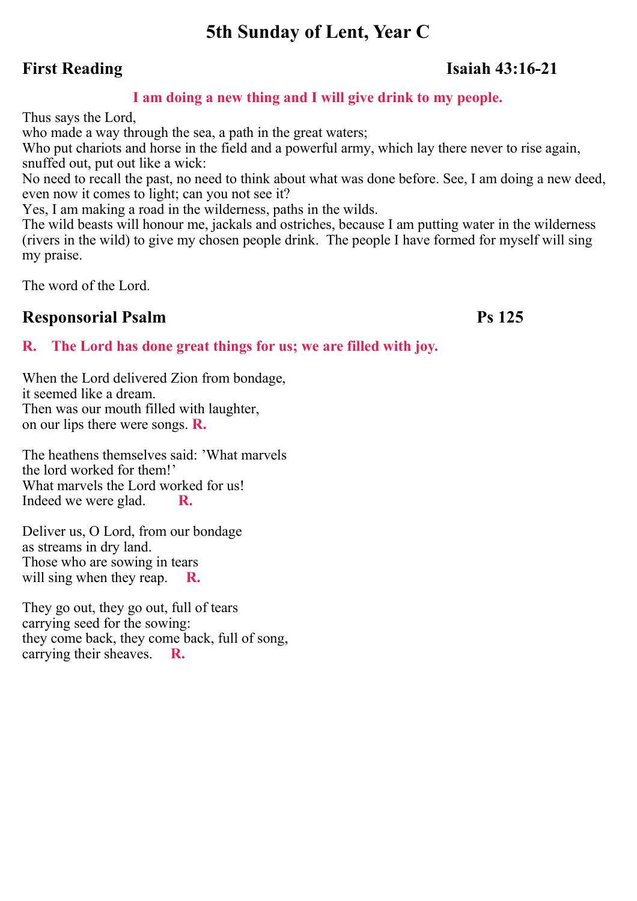# **5th Sunday of Lent, Year C**

# **First Reading Isaiah 43:16-21**

# **I am doing a new thing and I will give drink to my people.**

Thus says the Lord,

who made a way through the sea, a path in the great waters;

Who put chariots and horse in the field and a powerful army, which lay there never to rise again, snuffed out, put out like a wick:

No need to recall the past, no need to think about what was done before. See, I am doing a new deed, even now it comes to light; can you not see it?

Yes, I am making a road in the wilderness, paths in the wilds.

The wild beasts will honour me, jackals and ostriches, because I am putting water in the wilderness (rivers in the wild) to give my chosen people drink. The people I have formed for myself will sing my praise.

The word of the Lord.

# **Responsorial Psalm Ps 125**

# **R. The Lord has done great things for us; we are filled with joy.**

When the Lord delivered Zion from bondage, it seemed like a dream. Then was our mouth filled with laughter, on our lips there were songs. **R.**

The heathens themselves said: 'What marvels the lord worked for them!' What marvels the Lord worked for us! Indeed we were glad. **R.**

Deliver us, O Lord, from our bondage as streams in dry land. Those who are sowing in tears will sing when they reap. **R.**

They go out, they go out, full of tears carrying seed for the sowing: they come back, they come back, full of song, carrying their sheaves. **R.**